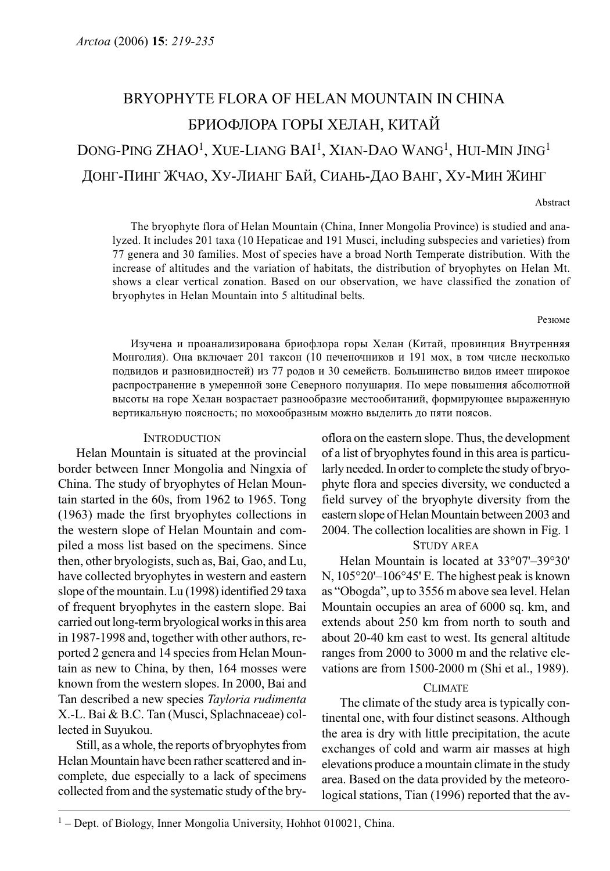# BRYOPHYTE FLORA OF HELAN MOUNTAIN IN CHINA БРИОФЛОРА ГОРЫ ХЕЛАН, КИТАЙ DONG-PING ZHAO<sup>1</sup>, XUE-LIANG BAI<sup>1</sup>, XIAN-DAO WANG<sup>1</sup>, HUI-MIN JING<sup>1</sup> ДОНГ-ПИНГ ЖЧАО, ХУ-ЛИАНГ БАЙ, СИАНЬ-ДАО ВАНГ, ХУ-МИН ЖИНГ

Abstract

The bryophyte flora of Helan Mountain (China, Inner Mongolia Province) is studied and analyzed. It includes 201 taxa (10 Hepaticae and 191 Musci, including subspecies and varieties) from 77 genera and 30 families. Most of species have a broad North Temperate distribution. With the increase of altitudes and the variation of habitats, the distribution of bryophytes on Helan Mt. shows a clear vertical zonation. Based on our observation, we have classified the zonation of bryophytes in Helan Mountain into 5 altitudinal belts.

#### Резюме

Изучена и проанализирована бриофлора горы Хелан (Китай, провинция Внутренняя Монголия). Она включает 201 таксон (10 печеночников и 191 мох, в том числе несколько подвидов и разновидностей) из 77 родов и 30 семейств. Большинство видов имеет широкое распространение в умеренной зоне Северного полушария. По мере повышения абсолютной высоты на горе Хелан возрастает разнообразие местообитаний, формирующее выраженную вертикальную поясность; по мохообразным можно выделить до пяти поясов.

## **INTRODUCTION**

Helan Mountain is situated at the provincial border between Inner Mongolia and Ningxia of China. The study of bryophytes of Helan Mountain started in the 60s, from 1962 to 1965. Tong (1963) made the first bryophytes collections in the western slope of Helan Mountain and compiled a moss list based on the specimens. Since then, other bryologists, such as, Bai, Gao, and Lu, have collected bryophytes in western and eastern slope of the mountain. Lu (1998) identified 29 taxa of frequent bryophytes in the eastern slope. Bai carried out long-term bryological works in this area in 1987-1998 and, together with other authors, reported 2 genera and 14 species from Helan Mountain as new to China, by then, 164 mosses were known from the western slopes. In 2000, Bai and Tan described a new species Tayloria rudimenta X.-L. Bai & B.C. Tan (Musci, Splachnaceae) collected in Suyukou.

Still, as a whole, the reports of bryophytes from Helan Mountain have been rather scattered and incomplete, due especially to a lack of specimens collected from and the systematic study of the bryoflora on the eastern slope. Thus, the development of a list of bryophytes found in this area is particularly needed. In order to complete the study of bryophyte flora and species diversity, we conducted a field survey of the bryophyte diversity from the eastern slope of Helan Mountain between 2003 and 2004. The collection localities are shown in Fig. 1

# STUDY AREA

Helan Mountain is located at 33°07'–39°30' N, 105°20'–106°45' E. The highest peak is known as "Obogda", up to 3556 m above sea level. Helan Mountain occupies an area of 6000 sq. km, and extends about 250 km from north to south and about 20-40 km east to west. Its general altitude ranges from 2000 to 3000 m and the relative elevations are from 1500-2000 m (Shi et al., 1989).

#### **CLIMATE**

The climate of the study area is typically continental one, with four distinct seasons. Although the area is dry with little precipitation, the acute exchanges of cold and warm air masses at high elevations produce a mountain climate in the study area. Based on the data provided by the meteorological stations, Tian (1996) reported that the av-

 $1 -$  Dept. of Biology, Inner Mongolia University, Hohhot 010021, China.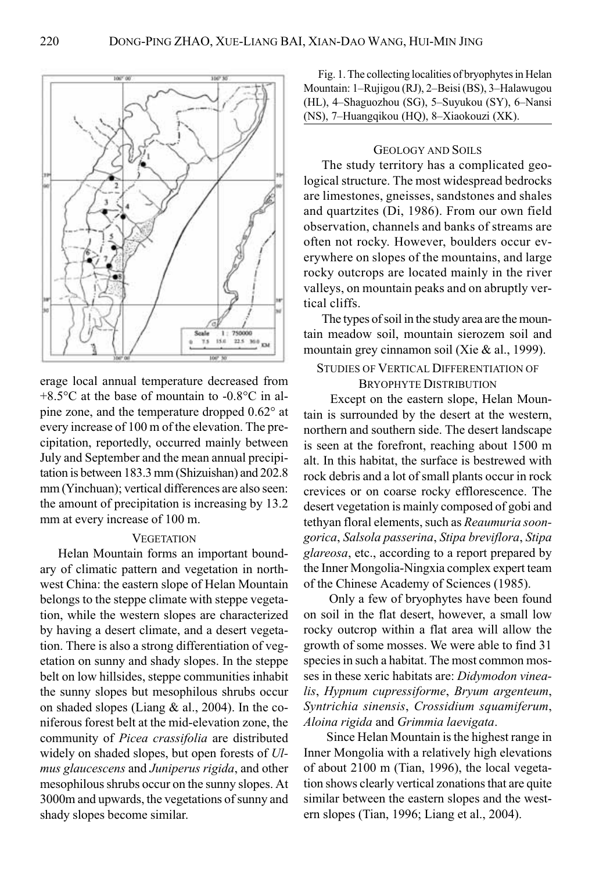

erage local annual temperature decreased from +8.5°C at the base of mountain to -0.8°C in alpine zone, and the temperature dropped 0.62° at every increase of 100 m of the elevation. The precipitation, reportedly, occurred mainly between July and September and the mean annual precipitation is between 183.3 mm (Shizuishan) and 202.8 mm (Yinchuan); vertical differences are also seen: the amount of precipitation is increasing by 13.2 mm at every increase of 100 m.

## **VEGETATION**

Helan Mountain forms an important boundary of climatic pattern and vegetation in northwest China: the eastern slope of Helan Mountain belongs to the steppe climate with steppe vegetation, while the western slopes are characterized by having a desert climate, and a desert vegetation. There is also a strong differentiation of vegetation on sunny and shady slopes. In the steppe belt on low hillsides, steppe communities inhabit the sunny slopes but mesophilous shrubs occur on shaded slopes (Liang & al., 2004). In the coniferous forest belt at the mid-elevation zone, the community of Picea crassifolia are distributed widely on shaded slopes, but open forests of Ulmus glaucescens and Juniperus rigida, and other mesophilous shrubs occur on the sunny slopes. At 3000m and upwards, the vegetations of sunny and shady slopes become similar.

Fig. 1. The collecting localities of bryophytes in Helan Mountain: 1–Rujigou (RJ), 2–Beisi (BS), 3–Halawugou (HL), 4–Shaguozhou (SG), 5–Suyukou (SY), 6–Nansi (NS), 7–Huangqikou (HQ), 8–Xiaokouzi (XK).

# GEOLOGY AND SOILS

The study territory has a complicated geological structure. The most widespread bedrocks are limestones, gneisses, sandstones and shales and quartzites (Di, 1986). From our own field observation, channels and banks of streams are often not rocky. However, boulders occur everywhere on slopes of the mountains, and large rocky outcrops are located mainly in the river valleys, on mountain peaks and on abruptly vertical cliffs.

The types of soil in the study area are the mountain meadow soil, mountain sierozem soil and mountain grey cinnamon soil (Xie & al., 1999).

# STUDIES OF VERTICAL DIFFERENTIATION OF BRYOPHYTE DISTRIBUTION

 Except on the eastern slope, Helan Mountain is surrounded by the desert at the western, northern and southern side. The desert landscape is seen at the forefront, reaching about 1500 m alt. In this habitat, the surface is bestrewed with rock debris and a lot of small plants occur in rock crevices or on coarse rocky efflorescence. The desert vegetation is mainly composed of gobi and tethyan floral elements, such as Reaumuria soongorica, Salsola passerina, Stipa breviflora, Stipa glareosa, etc., according to a report prepared by the Inner Mongolia-Ningxia complex expert team of the Chinese Academy of Sciences (1985).

 Only a few of bryophytes have been found on soil in the flat desert, however, a small low rocky outcrop within a flat area will allow the growth of some mosses. We were able to find 31 species in such a habitat. The most common mosses in these xeric habitats are: Didymodon vinealis, Hypnum cupressiforme, Bryum argenteum, Syntrichia sinensis, Crossidium squamiferum, Aloina rigida and Grimmia laevigata.

 Since Helan Mountain is the highest range in Inner Mongolia with a relatively high elevations of about 2100 m (Tian, 1996), the local vegetation shows clearly vertical zonations that are quite similar between the eastern slopes and the western slopes (Tian, 1996; Liang et al., 2004).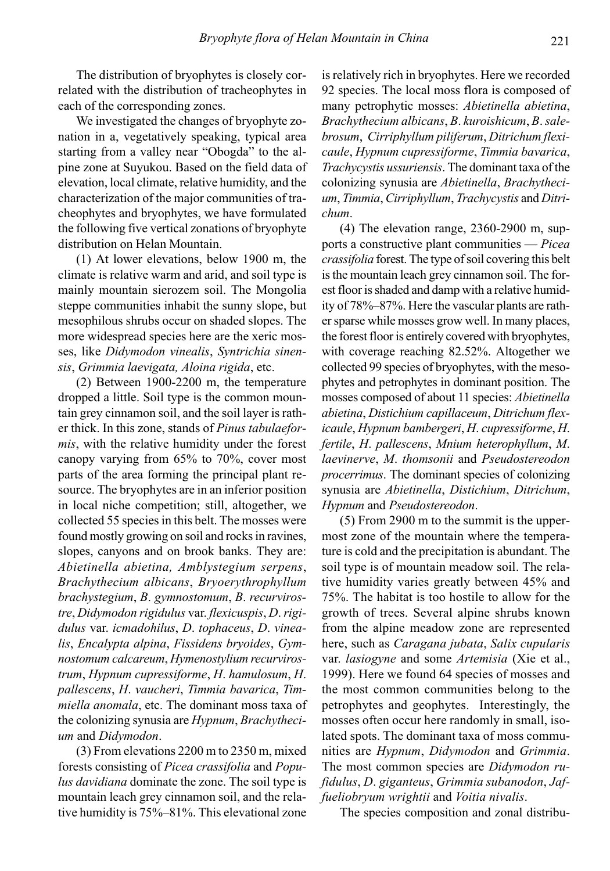The distribution of bryophytes is closely correlated with the distribution of tracheophytes in each of the corresponding zones.

We investigated the changes of bryophyte zonation in a, vegetatively speaking, typical area starting from a valley near "Obogda" to the alpine zone at Suyukou. Based on the field data of elevation, local climate, relative humidity, and the characterization of the major communities of tracheophytes and bryophytes, we have formulated the following five vertical zonations of bryophyte distribution on Helan Mountain.

(1) At lower elevations, below 1900 m, the climate is relative warm and arid, and soil type is mainly mountain sierozem soil. The Mongolia steppe communities inhabit the sunny slope, but mesophilous shrubs occur on shaded slopes. The more widespread species here are the xeric mosses, like Didymodon vinealis, Syntrichia sinensis, Grimmia laevigata, Aloina rigida, etc.

(2) Between 1900-2200 m, the temperature dropped a little. Soil type is the common mountain grey cinnamon soil, and the soil layer is rather thick. In this zone, stands of Pinus tabulaeformis, with the relative humidity under the forest canopy varying from 65% to 70%, cover most parts of the area forming the principal plant resource. The bryophytes are in an inferior position in local niche competition; still, altogether, we collected 55 species in this belt. The mosses were found mostly growing on soil and rocks in ravines, slopes, canyons and on brook banks. They are: Abietinella abietina, Amblystegium serpens, Brachythecium albicans, Bryoerythrophyllum brachystegium, B. gymnostomum, B. recurvirostre, Didymodon rigidulus var. flexicuspis, D. rigidulus var. icmadohilus, D. tophaceus, D. vinealis, Encalypta alpina, Fissidens bryoides, Gymnostomum calcareum, Hymenostylium recurvirostrum, Hypnum cupressiforme, H. hamulosum, H. pallescens, H. vaucheri, Timmia bavarica, Timmiella anomala, etc. The dominant moss taxa of the colonizing synusia are Hypnum, Brachythecium and Didymodon.

(3) From elevations 2200 m to 2350 m, mixed forests consisting of Picea crassifolia and Populus davidiana dominate the zone. The soil type is mountain leach grey cinnamon soil, and the relative humidity is 75%–81%. This elevational zone is relatively rich in bryophytes. Here we recorded 92 species. The local moss flora is composed of many petrophytic mosses: Abietinella abietina, Brachythecium albicans, B. kuroishicum, B. salebrosum, Cirriphyllum piliferum, Ditrichum flexicaule, Hypnum cupressiforme, Timmia bavarica, Trachycystis ussuriensis. The dominant taxa of the colonizing synusia are Abietinella, Brachythecium, Timmia, Cirriphyllum, Trachycystis and Ditrichum.

(4) The elevation range, 2360-2900 m, supports a constructive plant communities — Picea crassifolia forest. The type of soil covering this belt is the mountain leach grey cinnamon soil. The forest floor is shaded and damp with a relative humidity of 78%–87%. Here the vascular plants are rather sparse while mosses grow well. In many places, the forest floor is entirely covered with bryophytes, with coverage reaching 82.52%. Altogether we collected 99 species of bryophytes, with the mesophytes and petrophytes in dominant position. The mosses composed of about 11 species: Abietinella abietina, Distichium capillaceum, Ditrichum flexicaule, Hypnum bambergeri, H. cupressiforme, H. fertile, H. pallescens, Mnium heterophyllum, M. laevinerve, M. thomsonii and Pseudostereodon procerrimus. The dominant species of colonizing synusia are Abietinella, Distichium, Ditrichum, Hypnum and Pseudostereodon.

(5) From 2900 m to the summit is the uppermost zone of the mountain where the temperature is cold and the precipitation is abundant. The soil type is of mountain meadow soil. The relative humidity varies greatly between 45% and 75%. The habitat is too hostile to allow for the growth of trees. Several alpine shrubs known from the alpine meadow zone are represented here, such as Caragana jubata, Salix cupularis var. lasiogyne and some Artemisia (Xie et al., 1999). Here we found 64 species of mosses and the most common communities belong to the petrophytes and geophytes. Interestingly, the mosses often occur here randomly in small, isolated spots. The dominant taxa of moss communities are Hypnum, Didymodon and Grimmia. The most common species are Didymodon rufidulus, D. giganteus, Grimmia subanodon, Jaffueliobryum wrightii and Voitia nivalis.

The species composition and zonal distribu-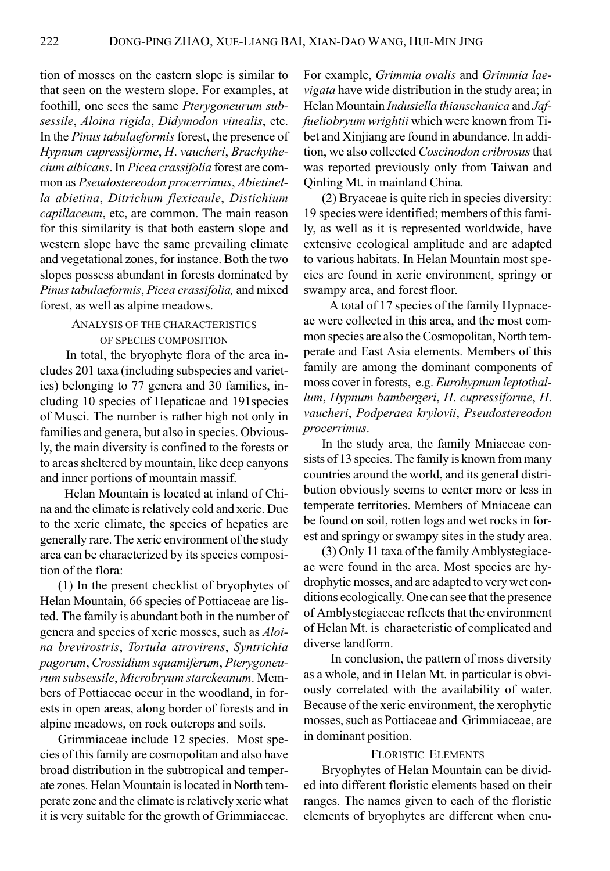tion of mosses on the eastern slope is similar to that seen on the western slope. For examples, at foothill, one sees the same Pterygoneurum subsessile, Aloina rigida, Didymodon vinealis, etc. In the Pinus tabulaeformis forest, the presence of Hypnum cupressiforme, H. vaucheri, Brachythecium albicans. In Picea crassifolia forest are common as Pseudostereodon procerrimus, Abietinella abietina, Ditrichum flexicaule, Distichium capillaceum, etc, are common. The main reason for this similarity is that both eastern slope and western slope have the same prevailing climate and vegetational zones, for instance. Both the two slopes possess abundant in forests dominated by Pinus tabulaeformis, Picea crassifolia, and mixed forest, as well as alpine meadows.

# ANALYSIS OF THE CHARACTERISTICS OF SPECIES COMPOSITION

 In total, the bryophyte flora of the area includes 201 taxa (including subspecies and varieties) belonging to 77 genera and 30 families, including 10 species of Hepaticae and 191species of Musci. The number is rather high not only in families and genera, but also in species. Obviously, the main diversity is confined to the forests or to areas sheltered by mountain, like deep canyons and inner portions of mountain massif.

 Helan Mountain is located at inland of China and the climate is relatively cold and xeric. Due to the xeric climate, the species of hepatics are generally rare. The xeric environment of the study area can be characterized by its species composition of the flora:

(1) In the present checklist of bryophytes of Helan Mountain, 66 species of Pottiaceae are listed. The family is abundant both in the number of genera and species of xeric mosses, such as Aloina brevirostris, Tortula atrovirens, Syntrichia pagorum, Crossidium squamiferum, Pterygoneurum subsessile, Microbryum starckeanum. Members of Pottiaceae occur in the woodland, in forests in open areas, along border of forests and in alpine meadows, on rock outcrops and soils.

Grimmiaceae include 12 species. Most species of this family are cosmopolitan and also have broad distribution in the subtropical and temperate zones. Helan Mountain is located in North temperate zone and the climate is relatively xeric what it is very suitable for the growth of Grimmiaceae.

For example, Grimmia ovalis and Grimmia laevigata have wide distribution in the study area; in Helan Mountain Indusiella thianschanica and Jaffueliobryum wrightii which were known from Tibet and Xinjiang are found in abundance. In addition, we also collected Coscinodon cribrosus that was reported previously only from Taiwan and Qinling Mt. in mainland China.

(2) Bryaceae is quite rich in species diversity: 19 species were identified; members of this family, as well as it is represented worldwide, have extensive ecological amplitude and are adapted to various habitats. In Helan Mountain most species are found in xeric environment, springy or swampy area, and forest floor.

 A total of 17 species of the family Hypnaceae were collected in this area, and the most common species are also the Cosmopolitan, North temperate and East Asia elements. Members of this family are among the dominant components of moss cover in forests, e.g. Eurohypnum leptothallum, Hypnum bambergeri, H. cupressiforme, H. vaucheri, Podperaea krylovii, Pseudostereodon procerrimus.

In the study area, the family Mniaceae consists of 13 species. The family is known from many countries around the world, and its general distribution obviously seems to center more or less in temperate territories. Members of Mniaceae can be found on soil, rotten logs and wet rocks in forest and springy or swampy sites in the study area.

(3) Only 11 taxa of the family Amblystegiaceae were found in the area. Most species are hydrophytic mosses, and are adapted to very wet conditions ecologically. One can see that the presence of Amblystegiaceae reflects that the environment of Helan Mt. is characteristic of complicated and diverse landform.

 In conclusion, the pattern of moss diversity as a whole, and in Helan Mt. in particular is obviously correlated with the availability of water. Because of the xeric environment, the xerophytic mosses, such as Pottiaceae and Grimmiaceae, are in dominant position.

#### FLORISTIC ELEMENTS

Bryophytes of Helan Mountain can be divided into different floristic elements based on their ranges. The names given to each of the floristic elements of bryophytes are different when enu-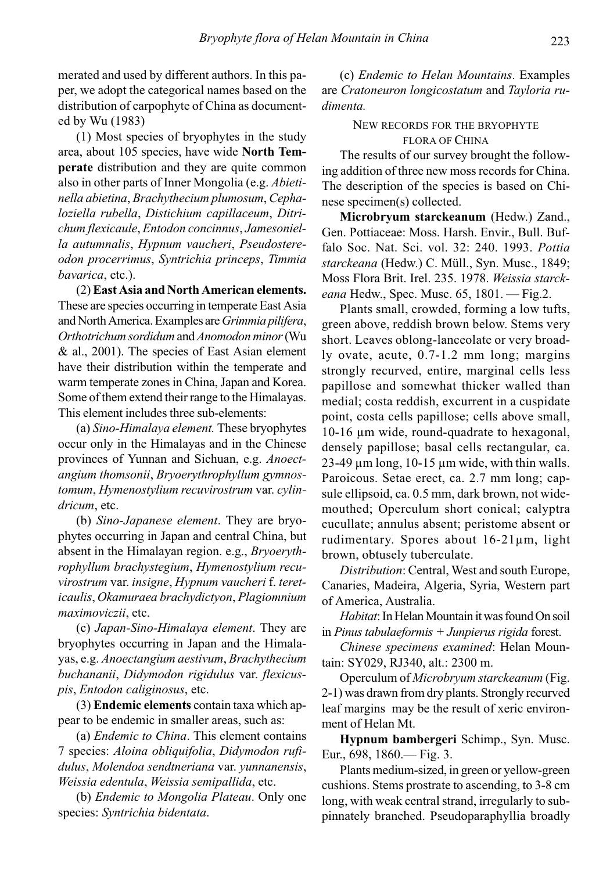merated and used by different authors. In this paper, we adopt the categorical names based on the distribution of carpophyte of China as documented by Wu (1983)

(1) Most species of bryophytes in the study area, about 105 species, have wide North Temperate distribution and they are quite common also in other parts of Inner Mongolia (e.g. Abietinella abietina, Brachythecium plumosum, Cephaloziella rubella, Distichium capillaceum, Ditrichum flexicaule, Entodon concinnus, Jamesoniella autumnalis, Hypnum vaucheri, Pseudostereodon procerrimus, Syntrichia princeps, Timmia bavarica, etc.).

(2) East Asia and North American elements. These are species occurring in temperate East Asia and North America. Examples are Grimmia pilifera, Orthotrichum sordidum and Anomodon minor (Wu & al., 2001). The species of East Asian element have their distribution within the temperate and warm temperate zones in China, Japan and Korea. Some of them extend their range to the Himalayas. This element includes three sub-elements:

(a) Sino-Himalaya element. These bryophytes occur only in the Himalayas and in the Chinese provinces of Yunnan and Sichuan, e.g. Anoectangium thomsonii, Bryoerythrophyllum gymnostomum, Hymenostylium recuvirostrum var. cylindricum, etc.

(b) Sino-Japanese element. They are bryophytes occurring in Japan and central China, but absent in the Himalayan region. e.g., Bryoerythrophyllum brachystegium, Hymenostylium recuvirostrum var. insigne, Hypnum vaucheri f. tereticaulis, Okamuraea brachydictyon, Plagiomnium maximoviczii, etc.

(c) Japan-Sino-Himalaya element. They are bryophytes occurring in Japan and the Himalayas, e.g. Anoectangium aestivum, Brachythecium buchananii, Didymodon rigidulus var. flexicuspis, Entodon caliginosus, etc.

(3) Endemic elements contain taxa which appear to be endemic in smaller areas, such as:

(a) Endemic to China. This element contains 7 species: Aloina obliquifolia, Didymodon rufidulus, Molendoa sendtneriana var. yunnanensis, Weissia edentula, Weissia semipallida, etc.

(b) Endemic to Mongolia Plateau. Only one species: Syntrichia bidentata.

(c) Endemic to Helan Mountains. Examples are Cratoneuron longicostatum and Tayloria rudimenta.

# NEW RECORDS FOR THE BRYOPHYTE FLORA OF CHINA

The results of our survey brought the following addition of three new moss records for China. The description of the species is based on Chinese specimen(s) collected.

Microbryum starckeanum (Hedw.) Zand., Gen. Pottiaceae: Moss. Harsh. Envir., Bull. Buffalo Soc. Nat. Sci. vol. 32: 240. 1993. Pottia starckeana (Hedw.) C. Müll., Syn. Musc., 1849; Moss Flora Brit. Irel. 235. 1978. Weissia starckeana Hedw., Spec. Musc. 65, 1801. - Fig.2.

Plants small, crowded, forming a low tufts, green above, reddish brown below. Stems very short. Leaves oblong-lanceolate or very broadly ovate, acute, 0.7-1.2 mm long; margins strongly recurved, entire, marginal cells less papillose and somewhat thicker walled than medial; costa reddish, excurrent in a cuspidate point, costa cells papillose; cells above small, 10-16 μm wide, round-quadrate to hexagonal, densely papillose; basal cells rectangular, ca.  $23-49 \mu m$  long, 10-15  $\mu$ m wide, with thin walls. Paroicous. Setae erect, ca. 2.7 mm long; capsule ellipsoid, ca. 0.5 mm, dark brown, not widemouthed; Operculum short conical; calyptra cucullate; annulus absent; peristome absent or rudimentary. Spores about 16-21μm, light brown, obtusely tuberculate.

Distribution: Central, West and south Europe, Canaries, Madeira, Algeria, Syria, Western part of America, Australia.

Habitat: In Helan Mountain it was found On soil in Pinus tabulae formis  $+$  Junpierus rigida forest.

Chinese specimens examined: Helan Mountain: SY029, RJ340, alt.: 2300 m.

Operculum of Microbryum starckeanum (Fig. 2-1) was drawn from dry plants. Strongly recurved leaf margins may be the result of xeric environment of Helan Mt.

Hypnum bambergeri Schimp., Syn. Musc. Eur., 698, 1860.— Fig. 3.

Plants medium-sized, in green or yellow-green cushions. Stems prostrate to ascending, to 3-8 cm long, with weak central strand, irregularly to subpinnately branched. Pseudoparaphyllia broadly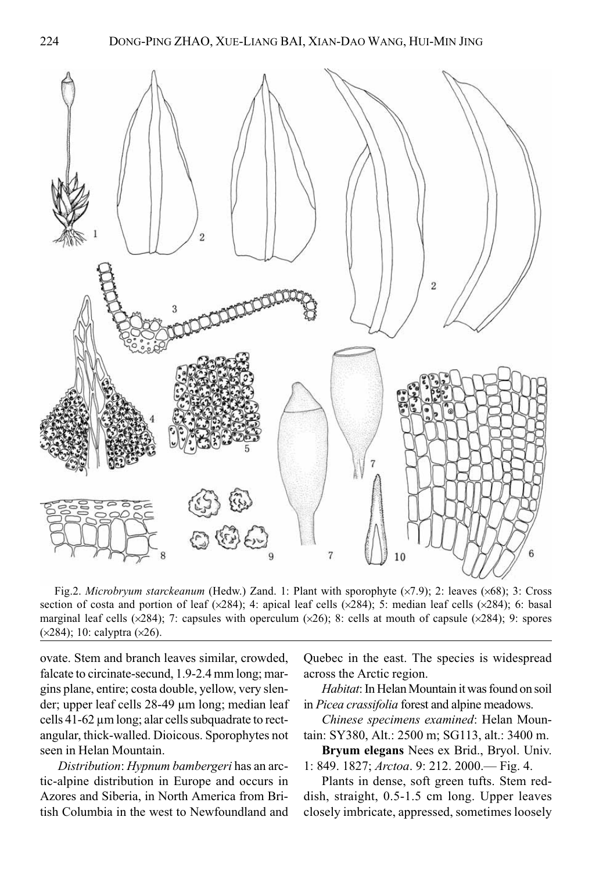

Fig.2. Microbryum starckeanum (Hedw.) Zand. 1: Plant with sporophyte ( $\times$ 7.9); 2: leaves ( $\times$ 68); 3: Cross section of costa and portion of leaf  $(x284)$ ; 4: apical leaf cells  $(x284)$ ; 5: median leaf cells  $(x284)$ ; 6: basal marginal leaf cells ( $\times$ 284); 7: capsules with operculum ( $\times$ 26); 8: cells at mouth of capsule ( $\times$ 284); 9: spores (×284); 10: calyptra (×26).

ovate. Stem and branch leaves similar, crowded, falcate to circinate-secund, 1.9-2.4 mm long; margins plane, entire; costa double, yellow, very slender; upper leaf cells 28-49 μm long; median leaf cells 41-62 μm long; alar cells subquadrate to rectangular, thick-walled. Dioicous. Sporophytes not seen in Helan Mountain.

Distribution: Hypnum bambergeri has an arctic-alpine distribution in Europe and occurs in Azores and Siberia, in North America from British Columbia in the west to Newfoundland and Quebec in the east. The species is widespread across the Arctic region.

Habitat: In Helan Mountain it was found on soil in Picea crassifolia forest and alpine meadows.

Chinese specimens examined: Helan Mountain: SY380, Alt.: 2500 m; SG113, alt.: 3400 m.

Bryum elegans Nees ex Brid., Bryol. Univ. 1: 849. 1827; Arctoa. 9: 212. 2000.— Fig. 4.

Plants in dense, soft green tufts. Stem reddish, straight, 0.5-1.5 cm long. Upper leaves closely imbricate, appressed, sometimes loosely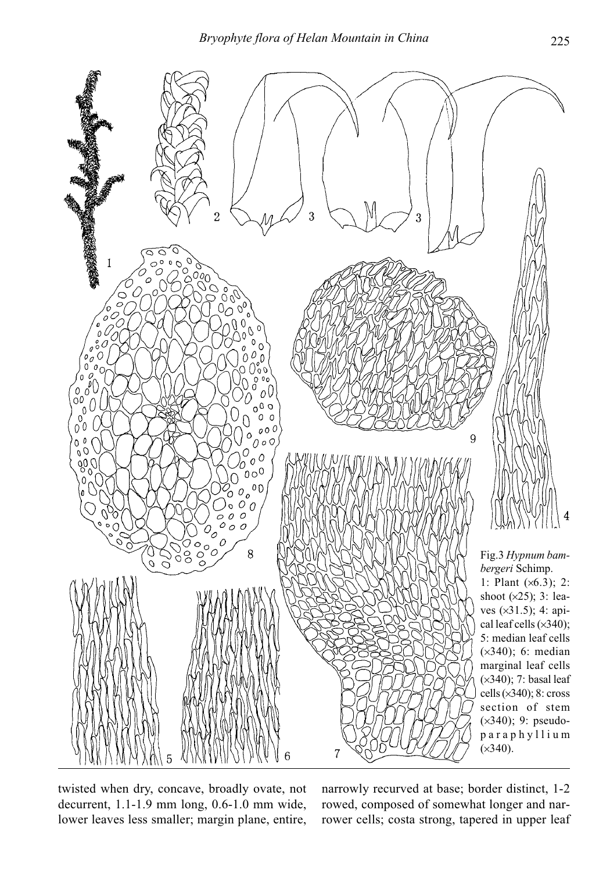

twisted when dry, concave, broadly ovate, not decurrent, 1.1-1.9 mm long, 0.6-1.0 mm wide, lower leaves less smaller; margin plane, entire, narrowly recurved at base; border distinct, 1-2 rowed, composed of somewhat longer and narrower cells; costa strong, tapered in upper leaf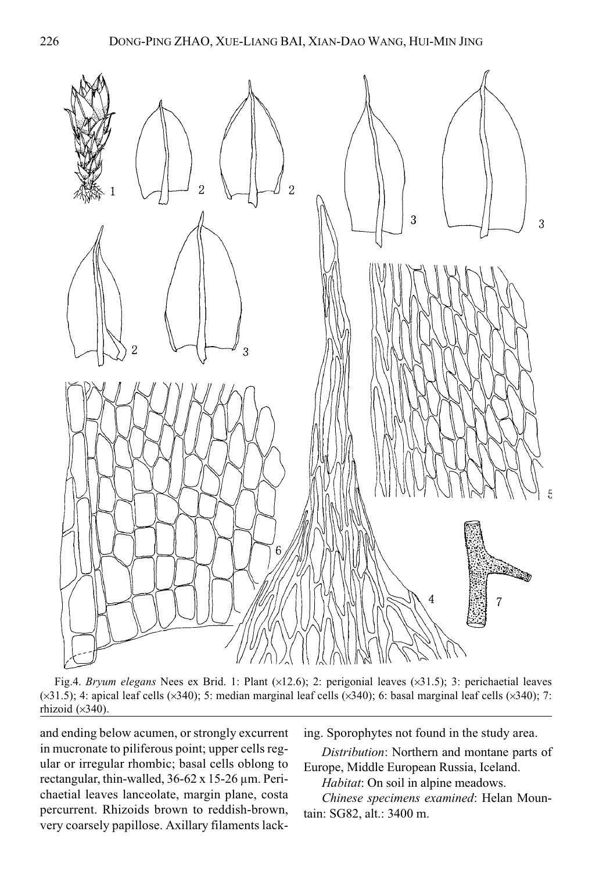

Fig.4. Bryum elegans Nees ex Brid. 1: Plant (×12.6); 2: perigonial leaves (×31.5); 3: perichaetial leaves (×31.5); 4: apical leaf cells (×340); 5: median marginal leaf cells (×340); 6: basal marginal leaf cells (×340); 7: rhizoid (×340).

and ending below acumen, or strongly excurrent in mucronate to piliferous point; upper cells regular or irregular rhombic; basal cells oblong to rectangular, thin-walled, 36-62 x 15-26 μm. Perichaetial leaves lanceolate, margin plane, costa percurrent. Rhizoids brown to reddish-brown, very coarsely papillose. Axillary filaments lacking. Sporophytes not found in the study area.

Distribution: Northern and montane parts of Europe, Middle European Russia, Iceland.

Habitat: On soil in alpine meadows.

Chinese specimens examined: Helan Mountain: SG82, alt.: 3400 m.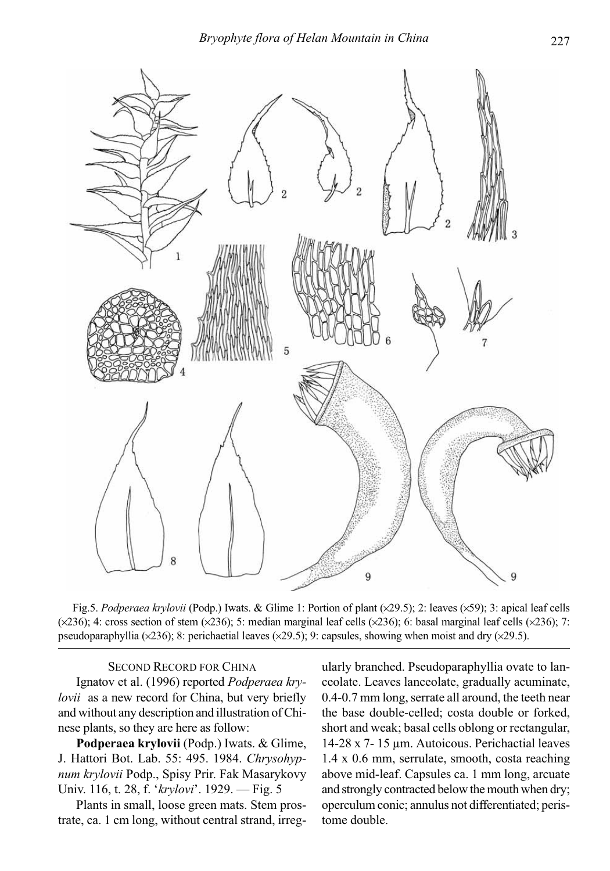

Fig.5. Podperaea krylovii (Podp.) Iwats. & Glime 1: Portion of plant (×29.5); 2: leaves (×59); 3: apical leaf cells  $(\times 236)$ ; 4: cross section of stem  $(\times 236)$ ; 5: median marginal leaf cells  $(\times 236)$ ; 6: basal marginal leaf cells  $(\times 236)$ ; 7: pseudoparaphyllia ( $\times$ 236); 8: perichaetial leaves ( $\times$ 29.5); 9: capsules, showing when moist and dry ( $\times$ 29.5).

# SECOND RECORD FOR CHINA

Ignatov et al. (1996) reported Podperaea krylovii as a new record for China, but very briefly and without any description and illustration of Chinese plants, so they are here as follow:

Podperaea krylovii (Podp.) Iwats. & Glime, J. Hattori Bot. Lab. 55: 495. 1984. Chrysohypnum krylovii Podp., Spisy Prir. Fak Masarykovy Univ. 116, t. 28, f. 'krylovi'. 1929. — Fig. 5

Plants in small, loose green mats. Stem prostrate, ca. 1 cm long, without central strand, irregularly branched. Pseudoparaphyllia ovate to lanceolate. Leaves lanceolate, gradually acuminate, 0.4-0.7 mm long, serrate all around, the teeth near the base double-celled; costa double or forked, short and weak; basal cells oblong or rectangular, 14-28 x 7- 15 μm. Autoicous. Perichactial leaves 1.4 x 0.6 mm, serrulate, smooth, costa reaching above mid-leaf. Capsules ca. 1 mm long, arcuate and strongly contracted below the mouth when dry; operculum conic; annulus not differentiated; peristome double.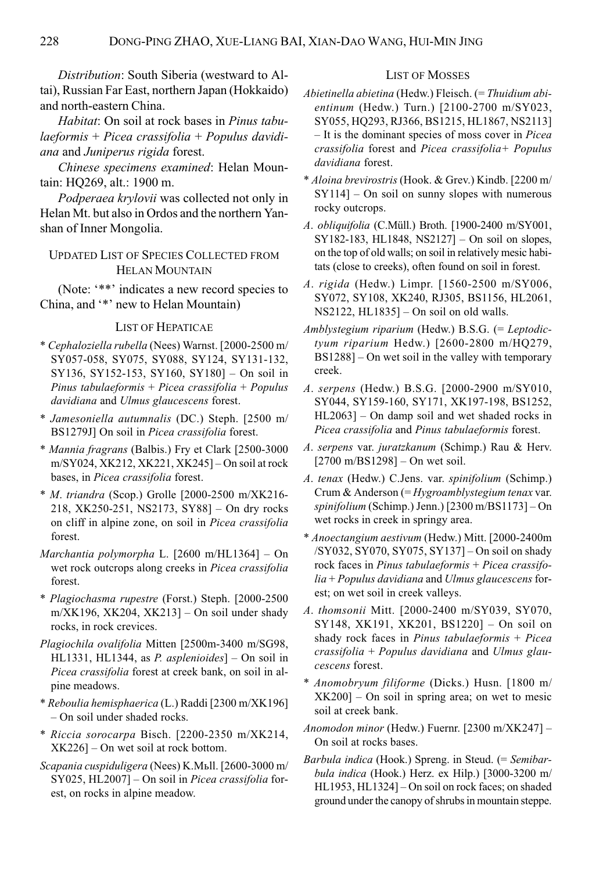Distribution: South Siberia (westward to Altai), Russian Far East, northern Japan (Hokkaido) and north-eastern China.

Habitat: On soil at rock bases in Pinus tabu $la$ eformis + Picea crassifolia + Populus davidiana and Juniperus rigida forest.

Chinese specimens examined: Helan Mountain: HQ269, alt.: 1900 m.

Podperaea krylovii was collected not only in Helan Mt. but also in Ordos and the northern Yanshan of Inner Mongolia.

UPDATED LIST OF SPECIES COLLECTED FROM HELAN MOUNTAIN

(Note: '\*\*' indicates a new record species to China, and '\*' new to Helan Mountain)

# LIST OF HEPATICAE

- \* Cephaloziella rubella (Nees) Warnst. [2000-2500 m/ SY057-058, SY075, SY088, SY124, SY131-132, SY136, SY152-153, SY160, SY180] – On soil in Pinus tabulaeformis + Picea crassifolia + Populus davidiana and Ulmus glaucescens forest.
- \* Jamesoniella autumnalis (DC.) Steph. [2500 m/ BS1279J] On soil in Picea crassifolia forest.
- \* Mannia fragrans (Balbis.) Fry et Clark [2500-3000 m/SY024, XK212, XK221, XK245] – On soil at rock bases, in Picea crassifolia forest.
- \* M. triandra (Scop.) Grolle [2000-2500 m/XK216- 218, XK250-251, NS2173, SY88] – On dry rocks on cliff in alpine zone, on soil in Picea crassifolia forest.
- Marchantia polymorpha L. [2600 m/HL1364] On wet rock outcrops along creeks in Picea crassifolia forest.
- \* Plagiochasma rupestre (Forst.) Steph. [2000-2500  $m/XK196$ , XK204, XK213] – On soil under shady rocks, in rock crevices.
- Plagiochila ovalifolia Mitten [2500m-3400 m/SG98, HL1331, HL1344, as P. asplenioides] – On soil in Picea crassifolia forest at creek bank, on soil in alpine meadows.
- \* Reboulia hemisphaerica (L.) Raddi [2300 m/XK196] – On soil under shaded rocks.
- \* Riccia sorocarpa Bisch. [2200-2350 m/XK214, XK226] – On wet soil at rock bottom.
- Scapania cuspiduligera (Nees) K.Mьll. [2600-3000 m/ SY025, HL2007] – On soil in Picea crassifolia forest, on rocks in alpine meadow.

### LIST OF MOSSES

- $Abietinella abietina$  (Hedw.) Fleisch. (= Thuidium abientinum (Hedw.) Turn.) [2100-2700 m/SY023, SY055, HQ293, RJ366, BS1215, HL1867, NS2113] – It is the dominant species of moss cover in Picea crassifolia forest and Picea crassifolia+ Populus davidiana forest.
- \* Aloina brevirostris (Hook. & Grev.) Kindb. [2200 m/ SY114] – On soil on sunny slopes with numerous rocky outcrops.
- A. obliquifolia (C.Müll.) Broth. [1900-2400 m/SY001, SY182-183, HL1848, NS2127] – On soil on slopes, on the top of old walls; on soil in relatively mesic habitats (close to creeks), often found on soil in forest.
- A. rigida (Hedw.) Limpr. [1560-2500 m/SY006, SY072, SY108, XK240, RJ305, BS1156, HL2061, NS2122, HL1835] – On soil on old walls.
- Amblystegium riparium (Hedw.) B.S.G. (= Leptodictyum riparium Hedw.) [2600-2800 m/HQ279, BS1288] – On wet soil in the valley with temporary creek.
- A. serpens (Hedw.) B.S.G. [2000-2900 m/SY010, SY044, SY159-160, SY171, XK197-198, BS1252, HL2063] – On damp soil and wet shaded rocks in Picea crassifolia and Pinus tabulaeformis forest.
- A. serpens var. juratzkanum (Schimp.) Rau & Herv. [2700 m/BS1298] – On wet soil.
- A. tenax (Hedw.) C.Jens. var. spinifolium (Schimp.) Crum & Anderson (= Hygroamblystegium tenax var. spinifolium (Schimp.) Jenn.) [2300 m/BS1173] – On wet rocks in creek in springy area.
- \* Anoectangium aestivum (Hedw.) Mitt. [2000-2400m /SY032, SY070, SY075, SY137] – On soil on shady rock faces in Pinus tabulaeformis + Picea crassifolia + Populus davidiana and Ulmus glaucescens forest; on wet soil in creek valleys.
- A. thomsonii Mitt. [2000-2400 m/SY039, SY070, SY148, XK191, XK201, BS1220] – On soil on shady rock faces in Pinus tabulaeformis + Picea crassifolia + Populus davidiana and Ulmus glaucescens forest.
- \* Anomobryum filiforme (Dicks.) Husn. [1800 m/  $XK200$  – On soil in spring area; on wet to mesic soil at creek bank.
- Anomodon minor (Hedw.) Fuernr. [2300 m/XK247] On soil at rocks bases.
- Barbula indica (Hook.) Spreng. in Steud. (= Semibarbula indica (Hook.) Herz. ex Hilp.) [3000-3200 m/ HL1953, HL1324] – On soil on rock faces; on shaded ground under the canopy of shrubs in mountain steppe.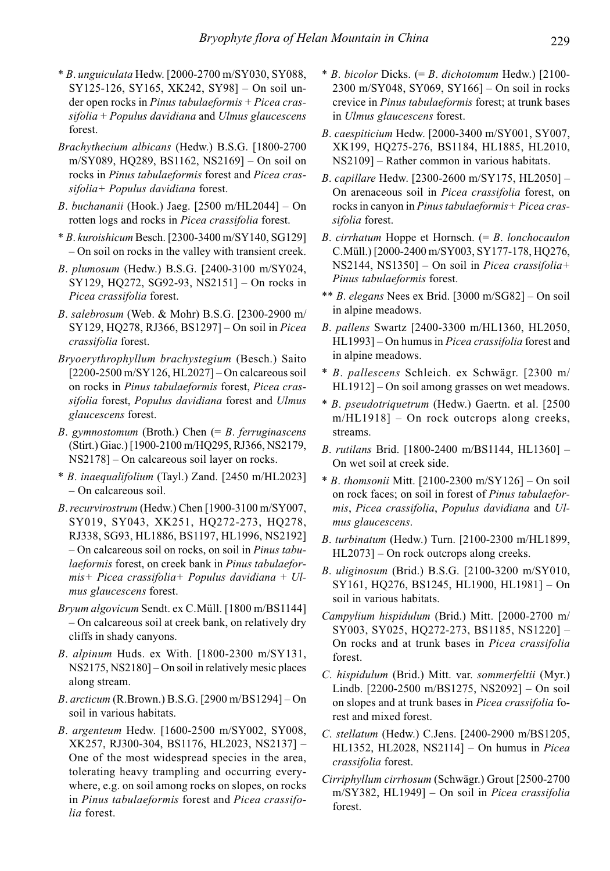- \* B. unguiculata Hedw. [2000-2700 m/SY030, SY088, SY125-126, SY165, XK242, SY98] – On soil under open rocks in Pinus tabulaeformis + Picea cras $sifolia + Populus davidiana$  and Ulmus glaucescens forest.
- Brachythecium albicans (Hedw.) B.S.G. [1800-2700 m/SY089, HQ289, BS1162, NS2169] – On soil on rocks in Pinus tabulaeformis forest and Picea crassifolia+ Populus davidiana forest.
- B. buchananii (Hook.) Jaeg. [2500 m/HL2044] On rotten logs and rocks in Picea crassifolia forest.
- \* B. kuroishicum Besch. [2300-3400 m/SY140, SG129] – On soil on rocks in the valley with transient creek.
- B. plumosum (Hedw.) B.S.G. [2400-3100 m/SY024, SY129, HQ272, SG92-93, NS2151] – On rocks in Picea crassifolia forest.
- B. salebrosum (Web. & Mohr) B.S.G. [2300-2900 m/ SY129, HQ278, RJ366, BS1297] – On soil in Picea crassifolia forest.
- Bryoerythrophyllum brachystegium (Besch.) Saito [2200-2500 m/SY126, HL2027] – On calcareous soil on rocks in Pinus tabulaeformis forest, Picea crassifolia forest, Populus davidiana forest and Ulmus glaucescens forest.
- B. gymnostomum (Broth.) Chen  $(= B.$  ferruginascens (Stirt.) Giac.) [1900-2100 m/HQ295, RJ366, NS2179, NS2178] – On calcareous soil layer on rocks.
- \* B. inaequalifolium (Tayl.) Zand. [2450 m/HL2023] – On calcareous soil.
- B. recurvirostrum (Hedw.) Chen [1900-3100 m/SY007, SY019, SY043, XK251, HQ272-273, HQ278, RJ338, SG93, HL1886, BS1197, HL1996, NS2192] – On calcareous soil on rocks, on soil in Pinus tabulaeformis forest, on creek bank in Pinus tabulaeformis+ Picea crassifolia+ Populus davidiana + Ulmus glaucescens forest.
- Bryum algovicum Sendt. ex C.Müll. [1800 m/BS1144] – On calcareous soil at creek bank, on relatively dry cliffs in shady canyons.
- B. alpinum Huds. ex With. [1800-2300 m/SY131, NS2175, NS2180] – On soil in relatively mesic places along stream.
- B. arcticum (R.Brown.) B.S.G. [2900 m/BS1294] On soil in various habitats.
- B. argenteum Hedw. [1600-2500 m/SY002, SY008, XK257, RJ300-304, BS1176, HL2023, NS2137] – One of the most widespread species in the area, tolerating heavy trampling and occurring everywhere, e.g. on soil among rocks on slopes, on rocks in Pinus tabulaeformis forest and Picea crassifolia forest.
- $*$  B. bicolor Dicks. (= B. dichotomum Hedw.) [2100-2300 m/SY048, SY069, SY166] – On soil in rocks crevice in Pinus tabulaeformis forest; at trunk bases in Ulmus glaucescens forest.
- B. caespiticium Hedw. [2000-3400 m/SY001, SY007, XK199, HQ275-276, BS1184, HL1885, HL2010, NS2109] – Rather common in various habitats.
- B. capillare Hedw. [2300-2600 m/SY175, HL2050] On arenaceous soil in Picea crassifolia forest, on rocks in canyon in Pinus tabulaeformis+ Picea crassifolia forest.
- B. cirrhatum Hoppe et Hornsch.  $(= B, 1)$ C.Müll.) [2000-2400 m/SY003, SY177-178, HQ276, NS2144, NS1350] – On soil in Picea crassifolia+ Pinus tabulaeformis forest.
- \*\* B. elegans Nees ex Brid. [3000 m/SG82] On soil in alpine meadows.
- B. pallens Swartz [2400-3300 m/HL1360, HL2050, HL1993] – On humus in Picea crassifolia forest and in alpine meadows.
- \* B. pallescens Schleich. ex Schwägr. [2300 m/ HL1912] – On soil among grasses on wet meadows.
- \* B. pseudotriquetrum (Hedw.) Gaertn. et al. [2500 m/HL1918] – On rock outcrops along creeks, streams.
- B. rutilans Brid. [1800-2400 m/BS1144, HL1360] On wet soil at creek side.
- $*$  B. thomsonii Mitt. [2100-2300 m/SY126] On soil on rock faces; on soil in forest of Pinus tabulaeformis, Picea crassifolia, Populus davidiana and Ulmus glaucescens.
- B. turbinatum (Hedw.) Turn. [2100-2300 m/HL1899, HL2073] – On rock outcrops along creeks.
- B. uliginosum (Brid.) B.S.G. [2100-3200 m/SY010, SY161, HQ276, BS1245, HL1900, HL1981] – On soil in various habitats.
- Campylium hispidulum (Brid.) Mitt. [2000-2700 m/ SY003, SY025, HQ272-273, BS1185, NS1220] – On rocks and at trunk bases in Picea crassifolia forest.
- C. hispidulum (Brid.) Mitt. var. sommerfeltii (Myr.) Lindb. [2200-2500 m/BS1275, NS2092] – On soil on slopes and at trunk bases in Picea crassifolia forest and mixed forest.
- C. stellatum (Hedw.) C.Jens. [2400-2900 m/BS1205, HL1352, HL2028, NS2114] – On humus in Picea crassifolia forest.
- Cirriphyllum cirrhosum (Schwägr.) Grout [2500-2700 m/SY382, HL1949] – On soil in Picea crassifolia forest.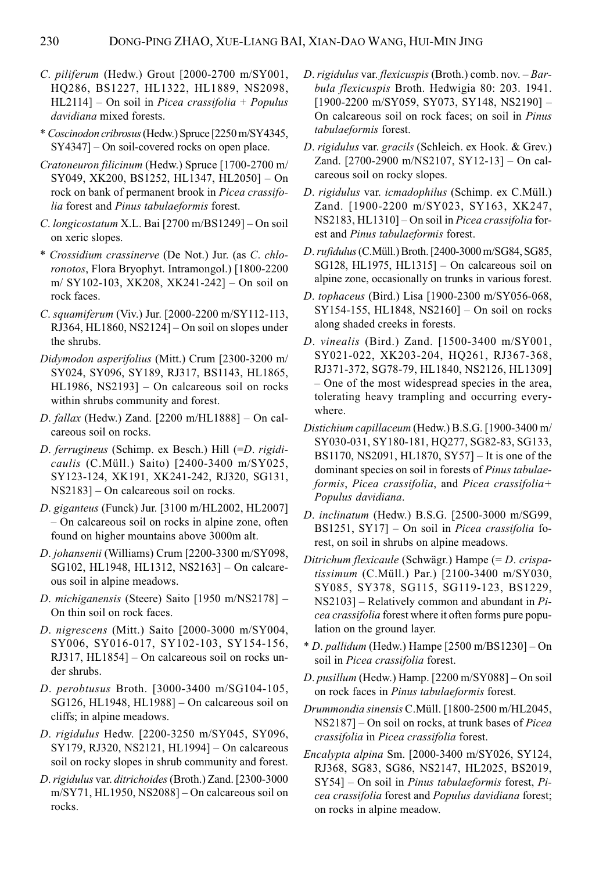- C. piliferum (Hedw.) Grout [2000-2700 m/SY001, HQ286, BS1227, HL1322, HL1889, NS2098,  $HL21141 - On soil in *Picea crassifolia* + *Populus*$ davidiana mixed forests.
- \* Coscinodon cribrosus (Hedw.) Spruce [2250 m/SY4345, SY4347] – On soil-covered rocks on open place.
- Cratoneuron filicinum (Hedw.) Spruce [1700-2700 m/ SY049, XK200, BS1252, HL1347, HL2050] – On rock on bank of permanent brook in Picea crassifolia forest and Pinus tabulaeformis forest.
- C. longicostatum X.L. Bai [2700 m/BS1249] On soil on xeric slopes.
- \* Crossidium crassinerve (De Not.) Jur. (as C. chloronotos, Flora Bryophyt. Intramongol.) [1800-2200 m/ SY102-103, XK208, XK241-242] – On soil on rock faces.
- C. squamiferum (Viv.) Jur. [2000-2200 m/SY112-113, RJ364, HL1860, NS2124] – On soil on slopes under the shrubs.
- Didymodon asperifolius (Mitt.) Crum [2300-3200 m/ SY024, SY096, SY189, RJ317, BS1143, HL1865, HL1986, NS2193] – On calcareous soil on rocks within shrubs community and forest.
- D. fallax (Hedw.) Zand. [2200 m/HL1888] On calcareous soil on rocks.
- D. ferrugineus (Schimp. ex Besch.) Hill (=D. rigidicaulis (C.Müll.) Saito) [2400-3400 m/SY025, SY123-124, XK191, XK241-242, RJ320, SG131, NS2183] – On calcareous soil on rocks.
- D. giganteus (Funck) Jur. [3100 m/HL2002, HL2007] – On calcareous soil on rocks in alpine zone, often found on higher mountains above 3000m alt.
- D. johansenii (Williams) Crum [2200-3300 m/SY098, SG102, HL1948, HL1312, NS2163] – On calcareous soil in alpine meadows.
- D. michiganensis (Steere) Saito [1950 m/NS2178] On thin soil on rock faces.
- D. nigrescens (Mitt.) Saito [2000-3000 m/SY004, SY006, SY016-017, SY102-103, SY154-156, RJ317, HL1854] – On calcareous soil on rocks under shrubs.
- D. perobtusus Broth. [3000-3400 m/SG104-105, SG126, HL1948, HL1988] – On calcareous soil on cliffs; in alpine meadows.
- D. rigidulus Hedw. [2200-3250 m/SY045, SY096, SY179, RJ320, NS2121, HL1994] – On calcareous soil on rocky slopes in shrub community and forest.
- D. rigidulus var. ditrichoides (Broth.) Zand. [2300-3000 m/SY71, HL1950, NS2088] – On calcareous soil on rocks.
- D. rigidulus var. flexicuspis (Broth.) comb. nov. Barbula flexicuspis Broth. Hedwigia 80: 203. 1941. [1900-2200 m/SY059, SY073, SY148, NS2190] – On calcareous soil on rock faces; on soil in Pinus tabulaeformis forest.
- D. rigidulus var. gracils (Schleich. ex Hook. & Grev.) Zand. [2700-2900 m/NS2107, SY12-13] – On calcareous soil on rocky slopes.
- D. rigidulus var. icmadophilus (Schimp. ex C.Müll.) Zand. [1900-2200 m/SY023, SY163, XK247, NS2183, HL1310] – On soil in Picea crassifolia forest and Pinus tabulaeformis forest.
- D. rufidulus (C.Müll.) Broth. [2400-3000 m/SG84, SG85, SG128, HL1975, HL1315] – On calcareous soil on alpine zone, occasionally on trunks in various forest.
- D. tophaceus (Bird.) Lisa [1900-2300 m/SY056-068, SY154-155, HL1848, NS2160] – On soil on rocks along shaded creeks in forests.
- D. vinealis (Bird.) Zand. [1500-3400 m/SY001, SY021-022, XK203-204, HQ261, RJ367-368, RJ371-372, SG78-79, HL1840, NS2126, HL1309] – One of the most widespread species in the area, tolerating heavy trampling and occurring everywhere.
- Distichium capillaceum (Hedw.) B.S.G. [1900-3400 m/ SY030-031, SY180-181, HQ277, SG82-83, SG133, BS1170, NS2091, HL1870, SY57] – It is one of the dominant species on soil in forests of Pinus tabulaeformis, Picea crassifolia, and Picea crassifolia+ Populus davidiana.
- D. inclinatum (Hedw.) B.S.G. [2500-3000 m/SG99, BS1251, SY17] – On soil in Picea crassifolia forest, on soil in shrubs on alpine meadows.
- Ditrichum flexicaule (Schwägr.) Hampe (= D. crispatissimum (C.Müll.) Par.) [2100-3400 m/SY030, SY085, SY378, SG115, SG119-123, BS1229,  $NS2103$  – Relatively common and abundant in *Pi*cea crassifolia forest where it often forms pure population on the ground layer.
- \* D. pallidum (Hedw.) Hampe [2500 m/BS1230] On soil in Picea crassifolia forest.
- D. pusillum (Hedw.) Hamp. [2200 m/SY088] On soil on rock faces in Pinus tabulaeformis forest.
- Drummondia sinensis C.Müll. [1800-2500 m/HL2045, NS2187] – On soil on rocks, at trunk bases of Picea crassifolia in Picea crassifolia forest.
- Encalypta alpina Sm. [2000-3400 m/SY026, SY124, RJ368, SG83, SG86, NS2147, HL2025, BS2019,  $SY54$ ] – On soil in *Pinus tabulaeformis* forest, *Pi*cea crassifolia forest and Populus davidiana forest; on rocks in alpine meadow.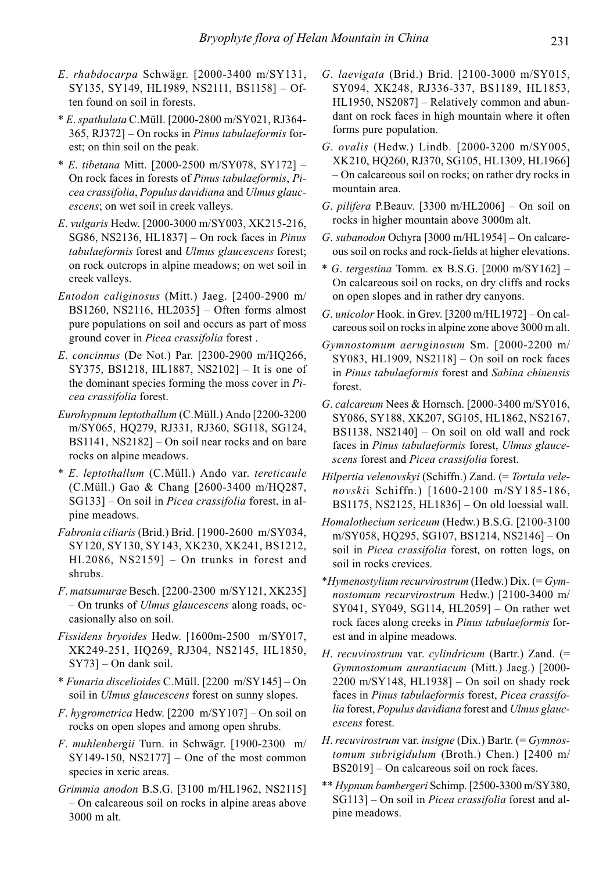- E. rhabdocarpa Schwägr. [2000-3400 m/SY131, SY135, SY149, HL1989, NS2111, BS1158] – Often found on soil in forests.
- \* E. spathulata C.Müll. [2000-2800 m/SY021, RJ364- 365, RJ372] – On rocks in Pinus tabulaeformis forest; on thin soil on the peak.
- $* E.$  tibetana Mitt. [2000-2500 m/SY078, SY172] On rock faces in forests of Pinus tabulaeformis, Picea crassifolia, Populus davidiana and Ulmus glaucescens; on wet soil in creek valleys.
- E. vulgaris Hedw. [2000-3000 m/SY003, XK215-216, SG86, NS2136, HL1837] – On rock faces in Pinus tabulaeformis forest and Ulmus glaucescens forest; on rock outcrops in alpine meadows; on wet soil in creek valleys.
- Entodon caliginosus (Mitt.) Jaeg. [2400-2900 m/ BS1260, NS2116, HL2035] – Often forms almost pure populations on soil and occurs as part of moss ground cover in Picea crassifolia forest .
- E. concinnus (De Not.) Par. [2300-2900 m/HQ266, SY375, BS1218, HL1887, NS2102] – It is one of the dominant species forming the moss cover in  $Pi$ cea crassifolia forest.
- Eurohypnum leptothallum (C.Müll.) Ando [2200-3200 m/SY065, HQ279, RJ331, RJ360, SG118, SG124, BS1141, NS2182] – On soil near rocks and on bare rocks on alpine meadows.
- \* E. leptothallum (C.Müll.) Ando var. tereticaule (C.Müll.) Gao & Chang [2600-3400 m/HQ287, SG133] – On soil in Picea crassifolia forest, in alpine meadows.
- Fabronia ciliaris (Brid.) Brid. [1900-2600 m/SY034, SY120, SY130, SY143, XK230, XK241, BS1212, HL2086, NS2159] – On trunks in forest and shrubs.
- F. matsumurae Besch. [2200-2300 m/SY121, XK235] – On trunks of Ulmus glaucescens along roads, occasionally also on soil.
- Fissidens bryoides Hedw. [1600m-2500 m/SY017, XK249-251, HQ269, RJ304, NS2145, HL1850, SY73] – On dank soil.
- \* Funaria discelioides C.Müll. [2200 m/SY145] On soil in *Ulmus glaucescens* forest on sunny slopes.
- F. hygrometrica Hedw. [2200 m/SY107] On soil on rocks on open slopes and among open shrubs.
- F. muhlenbergii Turn. in Schwägr. [1900-2300 m/  $SY149-150$ ,  $NS2177$ ] – One of the most common species in xeric areas.
- Grimmia anodon B.S.G. [3100 m/HL1962, NS2115] – On calcareous soil on rocks in alpine areas above 3000 m alt.
- G. laevigata (Brid.) Brid. [2100-3000 m/SY015, SY094, XK248, RJ336-337, BS1189, HL1853, HL1950, NS2087] – Relatively common and abundant on rock faces in high mountain where it often forms pure population.
- G. ovalis (Hedw.) Lindb. [2000-3200 m/SY005, XK210, HQ260, RJ370, SG105, HL1309, HL1966] – On calcareous soil on rocks; on rather dry rocks in mountain area.
- G. pilifera P.Beauv. [3300 m/HL2006] On soil on rocks in higher mountain above 3000m alt.
- G. subanodon Ochyra [3000 m/HL1954] On calcareous soil on rocks and rock-fields at higher elevations.
- $*$  G. tergestina Tomm. ex B.S.G. [2000 m/SY162] On calcareous soil on rocks, on dry cliffs and rocks on open slopes and in rather dry canyons.
- G. unicolor Hook. in Grev. [3200 m/HL1972] On calcareous soil on rocks in alpine zone above 3000 m alt.
- Gymnostomum aeruginosum Sm. [2000-2200 m/ SY083, HL1909, NS2118] – On soil on rock faces in Pinus tabulaeformis forest and Sabina chinensis forest.
- G. calcareum Nees & Hornsch. [2000-3400 m/SY016, SY086, SY188, XK207, SG105, HL1862, NS2167, BS1138, NS2140] – On soil on old wall and rock faces in Pinus tabulaeformis forest, Ulmus glaucescens forest and Picea crassifolia forest.
- Hilpertia velenovskyi (Schiffn.) Zand. (= Tortula velenovskii Schiffn.) [1600-2100 m/SY185-186, BS1175, NS2125, HL1836] – On old loessial wall.
- Homalothecium sericeum (Hedw.) B.S.G. [2100-3100 m/SY058, HQ295, SG107, BS1214, NS2146] – On soil in Picea crassifolia forest, on rotten logs, on soil in rocks crevices.
- \*Hymenostylium recurvirostrum (Hedw.) Dix.  $(= Gym$ nostomum recurvirostrum Hedw.) [2100-3400 m/ SY041, SY049, SG114, HL2059] – On rather wet rock faces along creeks in Pinus tabulaeformis forest and in alpine meadows.
- H. recuvirostrum var. cylindricum (Bartr.) Zand. (= Gymnostomum aurantiacum (Mitt.) Jaeg.) [2000- 2200 m/SY148, HL1938] – On soil on shady rock faces in Pinus tabulaeformis forest, Picea crassifolia forest, Populus davidiana forest and Ulmus glaucescens forest.
- H. recuvirostrum var. insigne (Dix.) Bartr.  $(= Gymnos$ tomum subrigidulum (Broth.) Chen.) [2400 m/ BS2019] – On calcareous soil on rock faces.
- \*\* Hypnum bambergeri Schimp. [2500-3300 m/SY380, SG113] – On soil in Picea crassifolia forest and alpine meadows.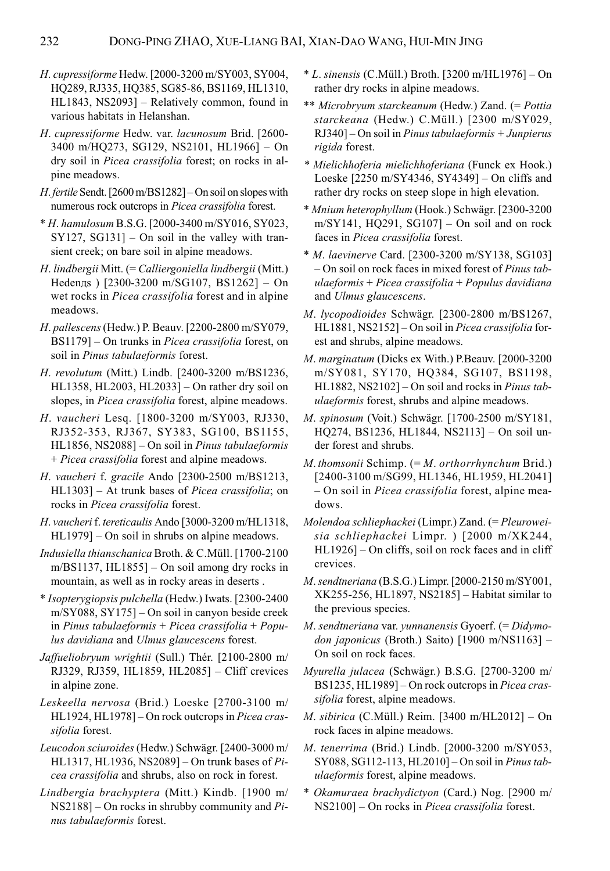- H. cupressiforme Hedw. [2000-3200 m/SY003, SY004, HQ289, RJ335, HQ385, SG85-86, BS1169, HL1310, HL1843, NS2093] – Relatively common, found in various habitats in Helanshan.
- H. cupressiforme Hedw. var. lacunosum Brid. [2600- 3400 m/HQ273, SG129, NS2101, HL1966] – On dry soil in Picea crassifolia forest; on rocks in alpine meadows.
- H. fertile Sendt. [2600 m/BS1282] On soil on slopes with numerous rock outcrops in Picea crassifolia forest.
- \* H. hamulosum B.S.G. [2000-3400 m/SY016, SY023, SY127, SG131] – On soil in the valley with transient creek; on bare soil in alpine meadows.
- H. lindbergii Mitt. (= Calliergoniella lindbergii (Mitt.) Hedenдs ) [2300-3200 m/SG107, BS1262] – On wet rocks in *Picea crassifolia* forest and in alpine meadows.
- H. pallescens (Hedw.) P. Beauv. [2200-2800 m/SY079, BS1179] – On trunks in Picea crassifolia forest, on soil in Pinus tabulaeformis forest.
- H. revolutum (Mitt.) Lindb. [2400-3200 m/BS1236, HL1358, HL2003, HL2033] – On rather dry soil on slopes, in *Picea crassifolia* forest, alpine meadows.
- H. vaucheri Lesq. [1800-3200 m/SY003, RJ330, RJ352-353, RJ367, SY383, SG100, BS1155, HL1856, NS2088] – On soil in Pinus tabulaeformis + Picea crassifolia forest and alpine meadows.
- H. vaucheri f. gracile Ando [2300-2500 m/BS1213, HL1303] – At trunk bases of Picea crassifolia; on rocks in Picea crassifolia forest.
- H. vaucheri f. tereticaulis Ando [3000-3200 m/HL1318, HL1979] – On soil in shrubs on alpine meadows.
- Indusiella thianschanica Broth. & C.Müll. [1700-2100 m/BS1137, HL1855] – On soil among dry rocks in mountain, as well as in rocky areas in deserts .
- \* Isopterygiopsis pulchella (Hedw.) Iwats. [2300-2400 m/SY088, SY175] – On soil in canyon beside creek in Pinus tabulaeformis + Picea crassifolia + Populus davidiana and Ulmus glaucescens forest.
- Jaffueliobryum wrightii (Sull.) Thér. [2100-2800 m/ RJ329, RJ359, HL1859, HL2085] – Cliff crevices in alpine zone.
- Leskeella nervosa (Brid.) Loeske [2700-3100 m/ HL1924, HL1978] – On rock outcrops in Picea crassifolia forest.
- Leucodon sciuroides (Hedw.) Schwägr. [2400-3000 m/ HL1317, HL1936, NS2089] – On trunk bases of  $Pi$ cea crassifolia and shrubs, also on rock in forest.
- Lindbergia brachyptera (Mitt.) Kindb. [1900 m/  $NS2188$ ] – On rocks in shrubby community and Pinus tabulaeformis forest.
- $*$  L. sinensis (C.Müll.) Broth. [3200 m/HL1976] On rather dry rocks in alpine meadows.
- \*\* Microbryum starckeanum (Hedw.) Zand. (= Pottia starckeana (Hedw.) C.Müll.) [2300 m/SY029, RJ340] – On soil in Pinus tabulaeformis + Junpierus rigida forest.
- \* Mielichhoferia mielichhoferiana (Funck ex Hook.) Loeske [2250 m/SY4346, SY4349] – On cliffs and rather dry rocks on steep slope in high elevation.
- \* Mnium heterophyllum (Hook.) Schwägr. [2300-3200 m/SY141, HQ291, SG107] – On soil and on rock faces in Picea crassifolia forest.
- \* M. laevinerve Card. [2300-3200 m/SY138, SG103] – On soil on rock faces in mixed forest of Pinus tabulaeformis + Picea crassifolia + Populus davidiana and Ulmus glaucescens.
- M. lycopodioides Schwägr. [2300-2800 m/BS1267, HL1881, NS2152] – On soil in Picea crassifolia forest and shrubs, alpine meadows.
- M. marginatum (Dicks ex With.) P.Beauv. [2000-3200 m/SY081, SY170, HQ384, SG107, BS1198, HL1882, NS2102] – On soil and rocks in Pinus tabulaeformis forest, shrubs and alpine meadows.
- M. spinosum (Voit.) Schwägr. [1700-2500 m/SY181, HQ274, BS1236, HL1844, NS2113] – On soil under forest and shrubs.
- $M.$  thomsonii Schimp. (=  $M.$  orthorrhynchum Brid.) [2400-3100 m/SG99, HL1346, HL1959, HL2041] – On soil in Picea crassifolia forest, alpine meadows.
- Molendoa schliephackei (Limpr.) Zand. (= Pleuroweisia schliephackei Limpr. ) [2000 m/XK244, HL1926] – On cliffs, soil on rock faces and in cliff crevices.
- M. sendtneriana (B.S.G.) Limpr. [2000-2150 m/SY001, XK255-256, HL1897, NS2185] – Habitat similar to the previous species.
- M. sendtneriana var. yunnanensis Gyoerf. (= Didymodon japonicus (Broth.) Saito) [1900 m/NS1163] – On soil on rock faces.
- Myurella julacea (Schwägr.) B.S.G. [2700-3200 m/ BS1235, HL1989] – On rock outcrops in Picea crassifolia forest, alpine meadows.
- M. sibirica (C.Müll.) Reim. [3400 m/HL2012] On rock faces in alpine meadows.
- M. tenerrima (Brid.) Lindb. [2000-3200 m/SY053, SY088, SG112-113, HL2010] – On soil in Pinus tabulaeformis forest, alpine meadows.
- \* Okamuraea brachydictyon (Card.) Nog. [2900 m/ NS2100] – On rocks in Picea crassifolia forest.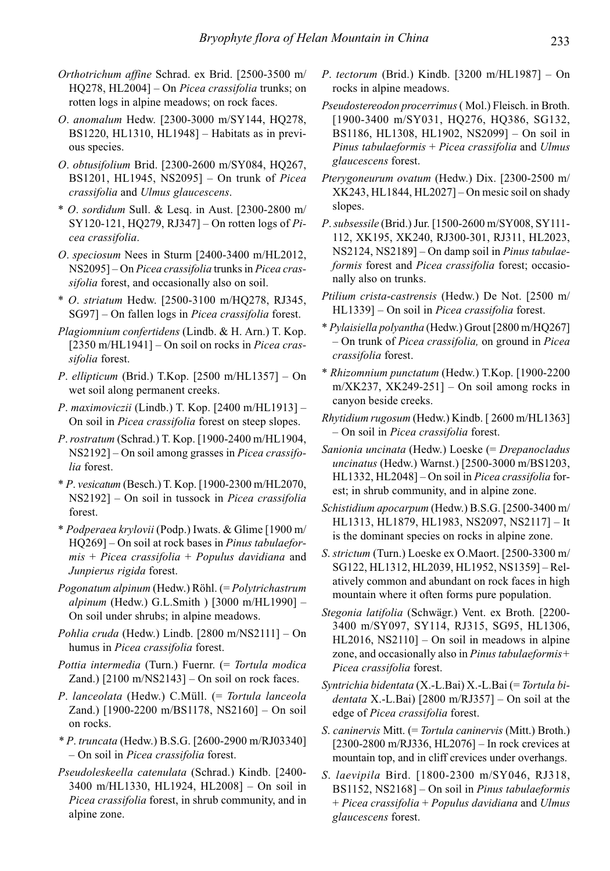- Orthotrichum affine Schrad. ex Brid. [2500-3500 m/ HQ278, HL2004] – On Picea crassifolia trunks; on rotten logs in alpine meadows; on rock faces.
- O. anomalum Hedw. [2300-3000 m/SY144, HQ278, BS1220, HL1310, HL1948] – Habitats as in previous species.
- O. obtusifolium Brid. [2300-2600 m/SY084, HQ267, BS1201, HL1945, NS2095] – On trunk of Picea crassifolia and Ulmus glaucescens.
- \* O. sordidum Sull. & Lesq. in Aust. [2300-2800 m/ SY120-121, HQ279, RJ347] – On rotten logs of  $Pi$ cea crassifolia.
- O. speciosum Nees in Sturm [2400-3400 m/HL2012, NS2095] – On Picea crassifolia trunks in Picea crassifolia forest, and occasionally also on soil.
- \* O. striatum Hedw. [2500-3100 m/HQ278, RJ345, SG97] – On fallen logs in Picea crassifolia forest.
- Plagiomnium confertidens (Lindb. & H. Arn.) T. Kop.  $[2350 \text{ m/H}L1941]$  – On soil on rocks in *Picea cras*sifolia forest.
- P. ellipticum (Brid.) T.Kop.  $[2500 \text{ m/H} L1357] \text{On}$ wet soil along permanent creeks.
- P. maximoviczii (Lindb.) T. Kop. [2400 m/HL1913] On soil in Picea crassifolia forest on steep slopes.
- P. rostratum (Schrad.) T. Kop. [1900-2400 m/HL1904, NS2192] – On soil among grasses in Picea crassifolia forest.
- \* P. vesicatum (Besch.) T. Kop. [1900-2300 m/HL2070, NS2192] – On soil in tussock in Picea crassifolia forest.
- \* Podperaea krylovii (Podp.) Iwats. & Glime [1900 m/ HQ269] – On soil at rock bases in Pinus tabulaefor $mis + Picea$  crassifolia + Populus davidiana and Junpierus rigida forest.
- Pogonatum alpinum (Hedw.) Röhl. (= Polytrichastrum alpinum (Hedw.) G.L.Smith ) [3000 m/HL1990] -On soil under shrubs; in alpine meadows.
- Pohlia cruda (Hedw.) Lindb. [2800 m/NS2111] On humus in Picea crassifolia forest.
- Pottia intermedia (Turn.) Fuernr. (= Tortula modica Zand.) [2100 m/NS2143] – On soil on rock faces.
- P. lanceolata (Hedw.) C.Müll. (= Tortula lanceola Zand.) [1900-2200 m/BS1178, NS2160] – On soil on rocks.
- \* P. truncata (Hedw.) B.S.G. [2600-2900 m/RJ03340] – On soil in Picea crassifolia forest.
- Pseudoleskeella catenulata (Schrad.) Kindb. [2400- 3400 m/HL1330, HL1924, HL2008] – On soil in Picea crassifolia forest, in shrub community, and in alpine zone.
- P. tectorum (Brid.) Kindb. [3200 m/HL1987] On rocks in alpine meadows.
- Pseudostereodon procerrimus ( Mol.) Fleisch. in Broth. [1900-3400 m/SY031, HQ276, HQ386, SG132, BS1186, HL1308, HL1902, NS2099] – On soil in Pinus tabulaeformis + Picea crassifolia and Ulmus glaucescens forest.
- Pterygoneurum ovatum (Hedw.) Dix. [2300-2500 m/ XK243, HL1844, HL2027] – On mesic soil on shady slopes.
- P. subsessile (Brid.) Jur. [1500-2600 m/SY008, SY111- 112, XK195, XK240, RJ300-301, RJ311, HL2023, NS2124, NS2189] – On damp soil in Pinus tabulaeformis forest and Picea crassifolia forest; occasionally also on trunks.
- Ptilium crista-castrensis (Hedw.) De Not. [2500 m/ HL1339] – On soil in Picea crassifolia forest.
- \* Pylaisiella polyantha (Hedw.) Grout [2800 m/HQ267] – On trunk of Picea crassifolia, on ground in Picea crassifolia forest.
- \* Rhizomnium punctatum (Hedw.) T.Kop. [1900-2200 m/XK237, XK249-251] – On soil among rocks in canyon beside creeks.
- Rhytidium rugosum (Hedw.) Kindb. [ 2600 m/HL1363] – On soil in Picea crassifolia forest.
- Sanionia uncinata (Hedw.) Loeske (= Drepanocladus uncinatus (Hedw.) Warnst.) [2500-3000 m/BS1203, HL1332, HL2048] – On soil in Picea crassifolia forest; in shrub community, and in alpine zone.
- Schistidium apocarpum (Hedw.) B.S.G. [2500-3400 m/ HL1313, HL1879, HL1983, NS2097, NS2117] – It is the dominant species on rocks in alpine zone.
- S. strictum (Turn.) Loeske ex O.Maort. [2500-3300 m/ SG122, HL1312, HL2039, HL1952, NS1359] – Relatively common and abundant on rock faces in high mountain where it often forms pure population.
- Stegonia latifolia (Schwägr.) Vent. ex Broth. [2200- 3400 m/SY097, SY114, RJ315, SG95, HL1306, HL2016, NS2110] – On soil in meadows in alpine zone, and occasionally also in Pinus tabulaeformis+ Picea crassifolia forest.
- Syntrichia bidentata (X.-L.Bai) X.-L.Bai (= Tortula bidentata X.-L.Bai) [2800 m/RJ357] – On soil at the edge of Picea crassifolia forest.
- S. caninervis Mitt. (= Tortula caninervis (Mitt.) Broth.) [2300-2800 m/RJ336, HL2076] – In rock crevices at mountain top, and in cliff crevices under overhangs.
- S. laevipila Bird. [1800-2300 m/SY046, RJ318, BS1152, NS2168] – On soil in Pinus tabulaeformis + Picea crassifolia + Populus davidiana and Ulmus glaucescens forest.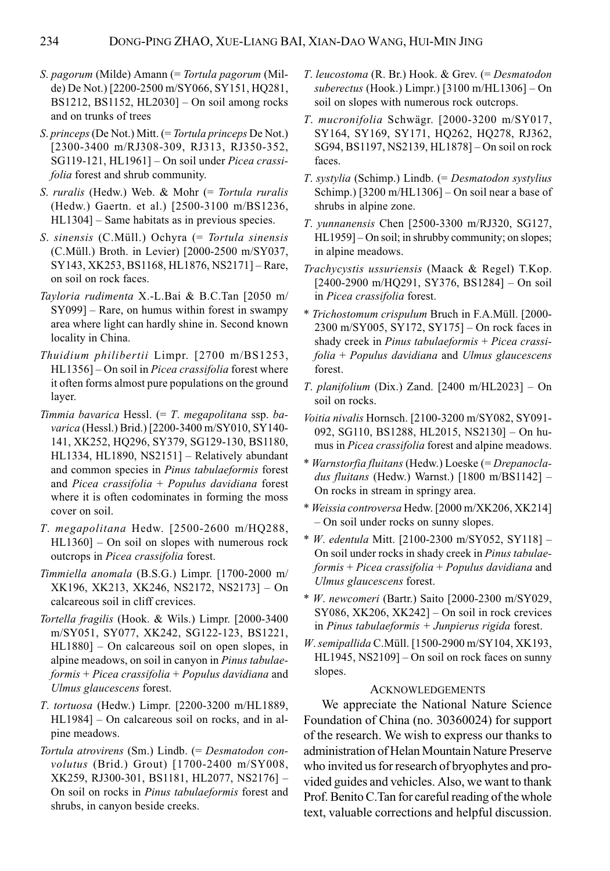- S. pagorum (Milde) Amann (= Tortula pagorum (Milde) De Not.) [2200-2500 m/SY066, SY151, HQ281, BS1212, BS1152, HL2030] – On soil among rocks and on trunks of trees
- S. princeps (De Not.) Mitt. (= Tortula princeps De Not.) [2300-3400 m/RJ308-309, RJ313, RJ350-352, SG119-121, HL1961] – On soil under Picea crassifolia forest and shrub community.
- S. ruralis (Hedw.) Web. & Mohr (= Tortula ruralis (Hedw.) Gaertn. et al.) [2500-3100 m/BS1236, HL1304] – Same habitats as in previous species.
- S. sinensis (C.Müll.) Ochyra (= Tortula sinensis (C.Müll.) Broth. in Levier) [2000-2500 m/SY037, SY143, XK253, BS1168, HL1876, NS2171] – Rare, on soil on rock faces.
- Tayloria rudimenta X.-L.Bai & B.C.Tan [2050 m/ SY099] – Rare, on humus within forest in swampy area where light can hardly shine in. Second known locality in China.
- Thuidium philibertii Limpr. [2700 m/BS1253, HL1356] – On soil in Picea crassifolia forest where it often forms almost pure populations on the ground layer.
- Timmia bavarica Hessl. (= T. megapolitana ssp. bavarica (Hessl.) Brid.) [2200-3400 m/SY010, SY140- 141, XK252, HQ296, SY379, SG129-130, BS1180, HL1334, HL1890, NS2151] – Relatively abundant and common species in Pinus tabulaeformis forest and Picea crassifolia + Populus davidiana forest where it is often codominates in forming the moss cover on soil.
- T. megapolitana Hedw. [2500-2600 m/HQ288, HL1360] – On soil on slopes with numerous rock outcrops in Picea crassifolia forest.
- Timmiella anomala (B.S.G.) Limpr. [1700-2000 m/ XK196, XK213, XK246, NS2172, NS2173] – On calcareous soil in cliff crevices.
- Tortella fragilis (Hook. & Wils.) Limpr. [2000-3400 m/SY051, SY077, XK242, SG122-123, BS1221, HL1880] – On calcareous soil on open slopes, in alpine meadows, on soil in canyon in Pinus tabulae $formis + Picea$  crassifolia + Populus davidiana and Ulmus glaucescens forest.
- T. tortuosa (Hedw.) Limpr. [2200-3200 m/HL1889, HL1984] – On calcareous soil on rocks, and in alpine meadows.
- Tortula atrovirens (Sm.) Lindb. (= Desmatodon convolutus (Brid.) Grout) [1700-2400 m/SY008, XK259, RJ300-301, BS1181, HL2077, NS2176] – On soil on rocks in Pinus tabulaeformis forest and shrubs, in canyon beside creeks.
- T. leucostoma (R. Br.) Hook. & Grev. (= Desmatodon suberectus (Hook.) Limpr.) [3100 m/HL1306] – On soil on slopes with numerous rock outcrops.
- T. mucronifolia Schwägr. [2000-3200 m/SY017, SY164, SY169, SY171, HQ262, HQ278, RJ362, SG94, BS1197, NS2139, HL1878] – On soil on rock faces.
- T. systylia (Schimp.) Lindb. (= Desmatodon systylius Schimp.) [3200 m/HL1306] – On soil near a base of shrubs in alpine zone.
- T. yunnanensis Chen [2500-3300 m/RJ320, SG127, HL1959] – On soil; in shrubby community; on slopes; in alpine meadows.
- Trachycystis ussuriensis (Maack & Regel) T.Kop. [2400-2900 m/HQ291, SY376, BS1284] – On soil in Picea crassifolia forest.
- \* Trichostomum crispulum Bruch in F.A.Müll. [2000- 2300 m/SY005, SY172, SY175] – On rock faces in shady creek in Pinus tabulaeformis + Picea crassifolia + Populus davidiana and Ulmus glaucescens forest.
- T. planifolium (Dix.) Zand.  $[2400 \text{ m/H}$ L $2023]$  On soil on rocks.
- Voitia nivalis Hornsch. [2100-3200 m/SY082, SY091- 092, SG110, BS1288, HL2015, NS2130] – On humus in Picea crassifolia forest and alpine meadows.
- \* Warnstorfia fluitans (Hedw.) Loeske (= Drepanocladus fluitans (Hedw.) Warnst.) [1800 m/BS1142] – On rocks in stream in springy area.
- \* Weissia controversa Hedw. [2000 m/XK206, XK214] – On soil under rocks on sunny slopes.
- \* W. edentula Mitt. [2100-2300 m/SY052, SY118] On soil under rocks in shady creek in Pinus tabulae $formis + Picea \text{ }crassifolia + Populus \text{ }davidiana$  and Ulmus glaucescens forest.
- \* W. newcomeri (Bartr.) Saito [2000-2300 m/SY029, SY086, XK206, XK242] – On soil in rock crevices in Pinus tabulaeformis + Junpierus rigida forest.
- W. semipallida C.Müll. [1500-2900 m/SY104, XK193, HL1945, NS2109] – On soil on rock faces on sunny slopes.

#### ACKNOWLEDGEMENTS

We appreciate the National Nature Science Foundation of China (no. 30360024) for support of the research. We wish to express our thanks to administration of Helan Mountain Nature Preserve who invited us for research of bryophytes and provided guides and vehicles. Also, we want to thank Prof. Benito C.Tan for careful reading of the whole text, valuable corrections and helpful discussion.